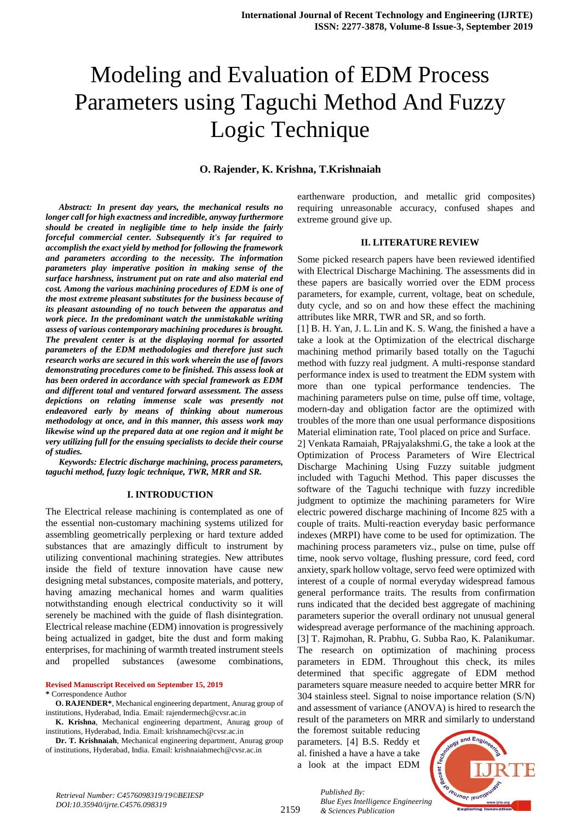# Modeling and Evaluation of EDM Process Parameters using Taguchi Method And Fuzzy Logic Technique

#### **O. Rajender, K. Krishna, T.Krishnaiah**

*Abstract: In present day years, the mechanical results no longer call for high exactness and incredible, anyway furthermore should be created in negligible time to help inside the fairly forceful commercial center. Subsequently it's far required to accomplish the exact yield by method for following the framework and parameters according to the necessity. The information parameters play imperative position in making sense of the surface harshness, instrument put on rate and also material end cost. Among the various machining procedures of EDM is one of the most extreme pleasant substitutes for the business because of its pleasant astounding of no touch between the apparatus and work piece. In the predominant watch the unmistakable writing assess of various contemporary machining procedures is brought. The prevalent center is at the displaying normal for assorted parameters of the EDM methodologies and therefore just such research works are secured in this work wherein the use of favors demonstrating procedures come to be finished. This assess look at has been ordered in accordance with special framework as EDM and different total and ventured forward assessment. The assess depictions on relating immense scale was presently not endeavored early by means of thinking about numerous methodology at once, and in this manner, this assess work may likewise wind up the prepared data at one region and it might be very utilizing full for the ensuing specialists to decide their course of studies.*

*Keywords: Electric discharge machining, process parameters, taguchi method, fuzzy logic technique, TWR, MRR and SR.*

#### **I. INTRODUCTION**

The Electrical release machining is contemplated as one of the essential non-customary machining systems utilized for assembling geometrically perplexing or hard texture added substances that are amazingly difficult to instrument by utilizing conventional machining strategies. New attributes inside the field of texture innovation have cause new designing metal substances, composite materials, and pottery, having amazing mechanical homes and warm qualities notwithstanding enough electrical conductivity so it will serenely be machined with the guide of flash disintegration. Electrical release machine (EDM) innovation is progressively being actualized in gadget, bite the dust and form making enterprises, for machining of warmth treated instrument steels and propelled substances (awesome combinations,

**Revised Manuscript Received on September 15, 2019**

**\*** Correspondence Author

earthenware production, and metallic grid composites) requiring unreasonable accuracy, confused shapes and extreme ground give up.

## **II. LITERATURE REVIEW**

Some picked research papers have been reviewed identified with Electrical Discharge Machining. The assessments did in these papers are basically worried over the EDM process parameters, for example, current, voltage, beat on schedule, duty cycle, and so on and how these effect the machining attributes like MRR, TWR and SR, and so forth.

[1] B. H. Yan, J. L. Lin and K. S. Wang, the finished a have a take a look at the Optimization of the electrical discharge machining method primarily based totally on the Taguchi method with fuzzy real judgment. A multi-response standard performance index is used to treatment the EDM system with more than one typical performance tendencies. The machining parameters pulse on time, pulse off time, voltage, modern-day and obligation factor are the optimized with troubles of the more than one usual performance dispositions Material elimination rate, Tool placed on price and Surface.

2] Venkata Ramaiah, PRajyalakshmi.G, the take a look at the Optimization of Process Parameters of Wire Electrical Discharge Machining Using Fuzzy suitable judgment included with Taguchi Method. This paper discusses the software of the Taguchi technique with fuzzy incredible judgment to optimize the machining parameters for Wire electric powered discharge machining of Income 825 with a couple of traits. Multi-reaction everyday basic performance indexes (MRPI) have come to be used for optimization. The machining process parameters viz., pulse on time, pulse off time, nook servo voltage, flushing pressure, cord feed, cord anxiety, spark hollow voltage, servo feed were optimized with interest of a couple of normal everyday widespread famous general performance traits. The results from confirmation runs indicated that the decided best aggregate of machining parameters superior the overall ordinary not unusual general widespread average performance of the machining approach. [3] T. Rajmohan, R. Prabhu, G. Subba Rao, K. Palanikumar. The research on optimization of machining process parameters in EDM. Throughout this check, its miles determined that specific aggregate of EDM method parameters square measure needed to acquire better MRR for 304 stainless steel. Signal to noise importance relation (S/N) and assessment of variance (ANOVA) is hired to research the result of the parameters on MRR and similarly to understand

the foremost suitable reducing parameters. [4] B.S. Reddy et al. finished a have a have a take a look at the impact EDM

*& Sciences Publication* 

*Published By:*



**O. RAJENDER\***, Mechanical engineering department, Anurag group of institutions, Hyderabad, India. Email: rajendermech@cvsr.ac.in

**K. Krishna**, Mechanical engineering department, Anurag group of institutions, Hyderabad, India. Email: krishnamech@cvsr.ac.in

**Dr. T. Krishnaiah**, Mechanical engineering department, Anurag group of institutions, Hyderabad, India. Email: krishnaiahmech@cvsr.ac.in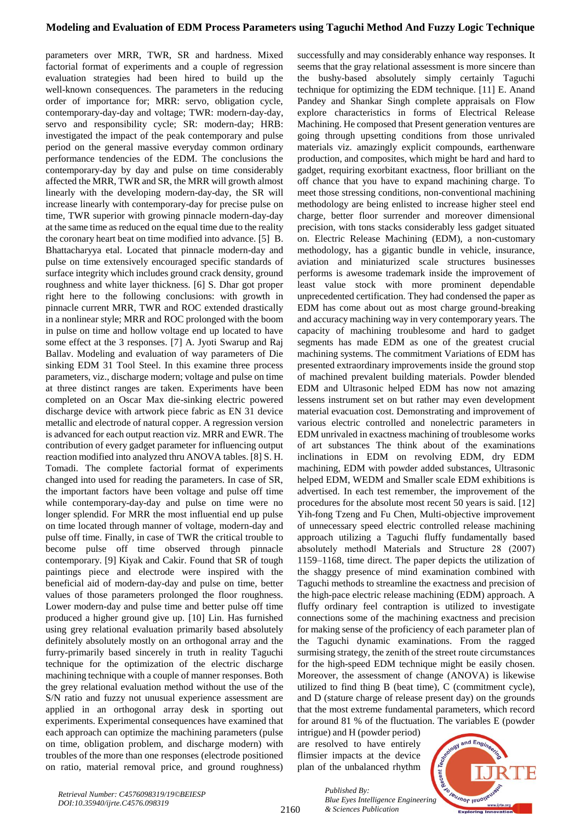# **Modeling and Evaluation of EDM Process Parameters using Taguchi Method And Fuzzy Logic Technique**

parameters over MRR, TWR, SR and hardness. Mixed factorial format of experiments and a couple of regression evaluation strategies had been hired to build up the well-known consequences. The parameters in the reducing order of importance for; MRR: servo, obligation cycle, contemporary-day-day and voltage; TWR: modern-day-day, servo and responsibility cycle; SR: modern-day; HRB: investigated the impact of the peak contemporary and pulse period on the general massive everyday common ordinary performance tendencies of the EDM. The conclusions the contemporary-day by day and pulse on time considerably affected the MRR, TWR and SR, the MRR will growth almost linearly with the developing modern-day-day, the SR will increase linearly with contemporary-day for precise pulse on time, TWR superior with growing pinnacle modern-day-day at the same time as reduced on the equal time due to the reality the coronary heart beat on time modified into advance. [5] B. Bhattacharyya etal. Located that pinnacle modern-day and pulse on time extensively encouraged specific standards of surface integrity which includes ground crack density, ground roughness and white layer thickness. [6] S. Dhar got proper right here to the following conclusions: with growth in pinnacle current MRR, TWR and ROC extended drastically in a nonlinear style; MRR and ROC prolonged with the boom in pulse on time and hollow voltage end up located to have some effect at the 3 responses. [7] A. Jyoti Swarup and Raj Ballav. Modeling and evaluation of way parameters of Die sinking EDM 31 Tool Steel. In this examine three process parameters, viz., discharge modern; voltage and pulse on time at three distinct ranges are taken. Experiments have been completed on an Oscar Max die-sinking electric powered discharge device with artwork piece fabric as EN 31 device metallic and electrode of natural copper. A regression version is advanced for each output reaction viz. MRR and EWR. The contribution of every gadget parameter for influencing output reaction modified into analyzed thru ANOVA tables. [8] S. H. Tomadi. The complete factorial format of experiments changed into used for reading the parameters. In case of SR, the important factors have been voltage and pulse off time while contemporary-day-day and pulse on time were no longer splendid. For MRR the most influential end up pulse on time located through manner of voltage, modern-day and pulse off time. Finally, in case of TWR the critical trouble to become pulse off time observed through pinnacle contemporary. [9] Kiyak and Cakir. Found that SR of tough paintings piece and electrode were inspired with the beneficial aid of modern-day-day and pulse on time, better values of those parameters prolonged the floor roughness. Lower modern-day and pulse time and better pulse off time produced a higher ground give up. [10] Lin. Has furnished using grey relational evaluation primarily based absolutely definitely absolutely mostly on an orthogonal array and the furry-primarily based sincerely in truth in reality Taguchi technique for the optimization of the electric discharge machining technique with a couple of manner responses. Both the grey relational evaluation method without the use of the S/N ratio and fuzzy not unusual experience assessment are applied in an orthogonal array desk in sporting out experiments. Experimental consequences have examined that each approach can optimize the machining parameters (pulse on time, obligation problem, and discharge modern) with troubles of the more than one responses (electrode positioned on ratio, material removal price, and ground roughness)

successfully and may considerably enhance way responses. It seems that the gray relational assessment is more sincere than the bushy-based absolutely simply certainly Taguchi technique for optimizing the EDM technique. [11] E. Anand Pandey and Shankar Singh complete appraisals on Flow explore characteristics in forms of Electrical Release Machining. He composed that Present generation ventures are going through upsetting conditions from those unrivaled materials viz. amazingly explicit compounds, earthenware production, and composites, which might be hard and hard to gadget, requiring exorbitant exactness, floor brilliant on the off chance that you have to expand machining charge. To meet those stressing conditions, non-conventional machining methodology are being enlisted to increase higher steel end charge, better floor surrender and moreover dimensional precision, with tons stacks considerably less gadget situated on. Electric Release Machining (EDM), a non-customary methodology, has a gigantic bundle in vehicle, insurance, aviation and miniaturized scale structures businesses performs is awesome trademark inside the improvement of least value stock with more prominent dependable unprecedented certification. They had condensed the paper as EDM has come about out as most charge ground-breaking and accuracy machining way in very contemporary years. The capacity of machining troublesome and hard to gadget segments has made EDM as one of the greatest crucial machining systems. The commitment Variations of EDM has presented extraordinary improvements inside the ground stop of machined prevalent building materials. Powder blended EDM and Ultrasonic helped EDM has now not amazing lessens instrument set on but rather may even development material evacuation cost. Demonstrating and improvement of various electric controlled and nonelectric parameters in EDM unrivaled in exactness machining of troublesome works of art substances The think about of the examinations inclinations in EDM on revolving EDM, dry EDM machining, EDM with powder added substances, Ultrasonic helped EDM, WEDM and Smaller scale EDM exhibitions is advertised. In each test remember, the improvement of the procedures for the absolute most recent 50 years is said. [12] Yih-fong Tzeng and Fu Chen, Multi-objective improvement of unnecessary speed electric controlled release machining approach utilizing a Taguchi fluffy fundamentally based absolutely method‖ Materials and Structure 28 (2007) 1159–1168, time direct. The paper depicts the utilization of the shaggy presence of mind examination combined with Taguchi methods to streamline the exactness and precision of the high-pace electric release machining (EDM) approach. A fluffy ordinary feel contraption is utilized to investigate connections some of the machining exactness and precision for making sense of the proficiency of each parameter plan of the Taguchi dynamic examinations. From the ragged surmising strategy, the zenith of the street route circumstances for the high-speed EDM technique might be easily chosen. Moreover, the assessment of change (ANOVA) is likewise utilized to find thing B (beat time), C (commitment cycle), and D (stature charge of release present day) on the grounds that the most extreme fundamental parameters, which record for around 81 % of the fluctuation. The variables E (powder

intrigue) and H (powder period) are resolved to have entirely flimsier impacts at the device plan of the unbalanced rhythm



*Retrieval Number: C4576098319/19©BEIESP DOI:10.35940/ijrte.C4576.098319*

*Published By: Blue Eyes Intelligence Engineering & Sciences Publication*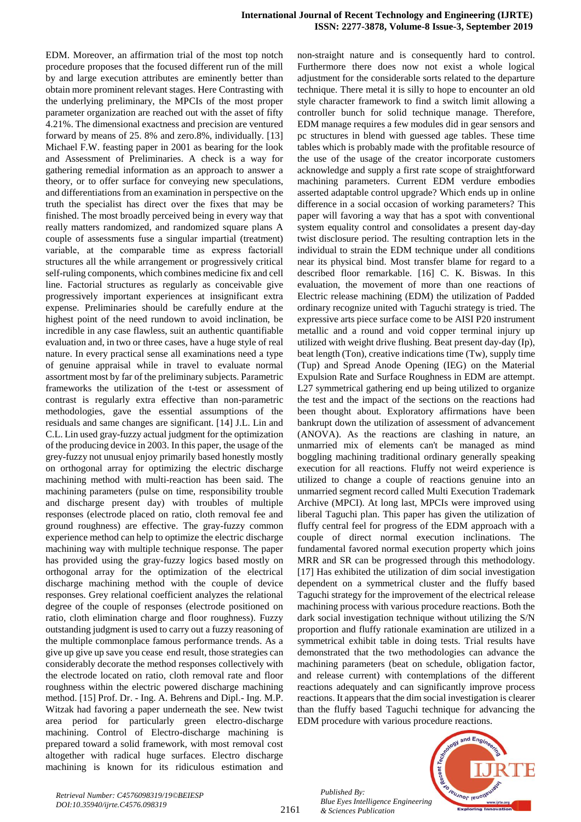EDM. Moreover, an affirmation trial of the most top notch procedure proposes that the focused different run of the mill by and large execution attributes are eminently better than obtain more prominent relevant stages. Here Contrasting with the underlying preliminary, the MPCIs of the most proper parameter organization are reached out with the asset of fifty 4.21%. The dimensional exactness and precision are ventured forward by means of 25. 8% and zero.8%, individually. [13] Michael F.W. feasting paper in 2001 as bearing for the look and Assessment of Preliminaries. A check is a way for gathering remedial information as an approach to answer a theory, or to offer surface for conveying new speculations, and differentiations from an examination in perspective on the truth the specialist has direct over the fixes that may be finished. The most broadly perceived being in every way that really matters randomized, and randomized square plans A couple of assessments fuse a singular impartial (treatment) variable, at the comparable time as express factorial‖ structures all the while arrangement or progressively critical self-ruling components, which combines medicine fix and cell line. Factorial structures as regularly as conceivable give progressively important experiences at insignificant extra expense. Preliminaries should be carefully endure at the highest point of the need rundown to avoid inclination, be incredible in any case flawless, suit an authentic quantifiable evaluation and, in two or three cases, have a huge style of real nature. In every practical sense all examinations need a type of genuine appraisal while in travel to evaluate normal assortment most by far of the preliminary subjects. Parametric frameworks the utilization of the t-test or assessment of contrast is regularly extra effective than non-parametric methodologies, gave the essential assumptions of the residuals and same changes are significant. [14] J.L. Lin and C.L. Lin used gray-fuzzy actual judgment for the optimization of the producing device in 2003. In this paper, the usage of the grey-fuzzy not unusual enjoy primarily based honestly mostly on orthogonal array for optimizing the electric discharge machining method with multi-reaction has been said. The machining parameters (pulse on time, responsibility trouble and discharge present day) with troubles of multiple responses (electrode placed on ratio, cloth removal fee and ground roughness) are effective. The gray-fuzzy common experience method can help to optimize the electric discharge machining way with multiple technique response. The paper has provided using the gray-fuzzy logics based mostly on orthogonal array for the optimization of the electrical discharge machining method with the couple of device responses. Grey relational coefficient analyzes the relational degree of the couple of responses (electrode positioned on ratio, cloth elimination charge and floor roughness). Fuzzy outstanding judgment is used to carry out a fuzzy reasoning of the multiple commonplace famous performance trends. As a give up give up save you cease end result, those strategies can considerably decorate the method responses collectively with the electrode located on ratio, cloth removal rate and floor roughness within the electric powered discharge machining method. [15] Prof. Dr. - Ing. A. Behrens and Dipl.- Ing. M.P. Witzak had favoring a paper underneath the see. New twist area period for particularly green electro-discharge machining. Control of Electro-discharge machining is prepared toward a solid framework, with most removal cost altogether with radical huge surfaces. Electro discharge machining is known for its ridiculous estimation and non-straight nature and is consequently hard to control. Furthermore there does now not exist a whole logical adjustment for the considerable sorts related to the departure technique. There metal it is silly to hope to encounter an old style character framework to find a switch limit allowing a controller bunch for solid technique manage. Therefore, EDM manage requires a few modules did in gear sensors and pc structures in blend with guessed age tables. These time tables which is probably made with the profitable resource of the use of the usage of the creator incorporate customers acknowledge and supply a first rate scope of straightforward machining parameters. Current EDM verdure embodies asserted adaptable control upgrade? Which ends up in online difference in a social occasion of working parameters? This paper will favoring a way that has a spot with conventional system equality control and consolidates a present day-day twist disclosure period. The resulting contraption lets in the individual to strain the EDM technique under all conditions near its physical bind. Most transfer blame for regard to a described floor remarkable. [16] C. K. Biswas. In this evaluation, the movement of more than one reactions of Electric release machining (EDM) the utilization of Padded ordinary recognize united with Taguchi strategy is tried. The expressive arts piece surface come to be AISI P20 instrument metallic and a round and void copper terminal injury up utilized with weight drive flushing. Beat present day-day (Ip), beat length (Ton), creative indications time (Tw), supply time (Tup) and Spread Anode Opening (IEG) on the Material Expulsion Rate and Surface Roughness in EDM are attempt. L27 symmetrical gathering end up being utilized to organize the test and the impact of the sections on the reactions had been thought about. Exploratory affirmations have been bankrupt down the utilization of assessment of advancement (ANOVA). As the reactions are clashing in nature, an unmarried mix of elements can't be managed as mind boggling machining traditional ordinary generally speaking execution for all reactions. Fluffy not weird experience is utilized to change a couple of reactions genuine into an unmarried segment record called Multi Execution Trademark Archive (MPCI). At long last, MPCIs were improved using liberal Taguchi plan. This paper has given the utilization of fluffy central feel for progress of the EDM approach with a couple of direct normal execution inclinations. The fundamental favored normal execution property which joins MRR and SR can be progressed through this methodology. [17] Has exhibited the utilization of dim social investigation dependent on a symmetrical cluster and the fluffy based Taguchi strategy for the improvement of the electrical release machining process with various procedure reactions. Both the dark social investigation technique without utilizing the S/N proportion and fluffy rationale examination are utilized in a symmetrical exhibit table in doing tests. Trial results have demonstrated that the two methodologies can advance the machining parameters (beat on schedule, obligation factor, and release current) with contemplations of the different reactions adequately and can significantly improve process reactions. It appears that the dim social investigation is clearer than the fluffy based Taguchi technique for advancing the EDM procedure with various procedure reactions.



*Retrieval Number: C4576098319/19©BEIESP DOI:10.35940/ijrte.C4576.098319*

*Published By:*

*& Sciences Publication*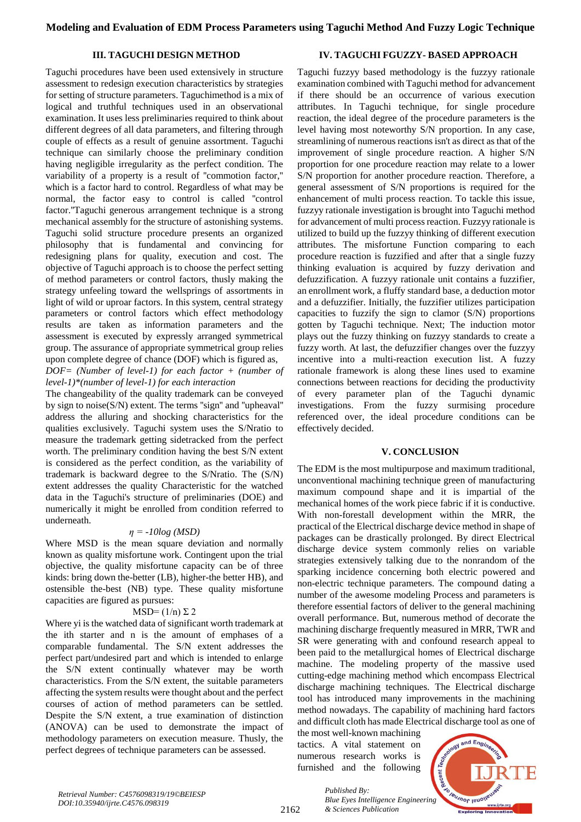## **III. TAGUCHI DESIGN METHOD**

## **IV. TAGUCHI FGUZZY- BASED APPROACH**

Taguchi procedures have been used extensively in structure assessment to redesign execution characteristics by strategies for setting of structure parameters. Taguchimethod is a mix of logical and truthful techniques used in an observational examination. It uses less preliminaries required to think about different degrees of all data parameters, and filtering through couple of effects as a result of genuine assortment. Taguchi technique can similarly choose the preliminary condition having negligible irregularity as the perfect condition. The variability of a property is a result of ''commotion factor,'' which is a factor hard to control. Regardless of what may be normal, the factor easy to control is called ''control factor.''Taguchi generous arrangement technique is a strong mechanical assembly for the structure of astonishing systems. Taguchi solid structure procedure presents an organized philosophy that is fundamental and convincing for redesigning plans for quality, execution and cost. The objective of Taguchi approach is to choose the perfect setting of method parameters or control factors, thusly making the strategy unfeeling toward the wellsprings of assortments in light of wild or uproar factors. In this system, central strategy parameters or control factors which effect methodology results are taken as information parameters and the assessment is executed by expressly arranged symmetrical group. The assurance of appropriate symmetrical group relies upon complete degree of chance (DOF) which is figured as,

*DOF= (Number of level-1) for each factor + (number of level-1)\*(number of level-1) for each interaction*

The changeability of the quality trademark can be conveyed by sign to noise(S/N) extent. The terms ''sign'' and ''upheaval'' address the alluring and shocking characteristics for the qualities exclusively. Taguchi system uses the S/Nratio to measure the trademark getting sidetracked from the perfect worth. The preliminary condition having the best S/N extent is considered as the perfect condition, as the variability of trademark is backward degree to the S/Nratio. The (S/N) extent addresses the quality Characteristic for the watched data in the Taguchi's structure of preliminaries (DOE) and numerically it might be enrolled from condition referred to underneath.

#### *η = -10log (MSD)*

Where MSD is the mean square deviation and normally known as quality misfortune work. Contingent upon the trial objective, the quality misfortune capacity can be of three kinds: bring down the-better (LB), higher-the better HB), and ostensible the-best (NB) type. These quality misfortune capacities are figured as pursues:

#### MSD=  $(1/n) \Sigma 2$

Where yi is the watched data of significant worth trademark at the ith starter and n is the amount of emphases of a comparable fundamental. The S/N extent addresses the perfect part/undesired part and which is intended to enlarge the S/N extent continually whatever may be worth characteristics. From the S/N extent, the suitable parameters affecting the system results were thought about and the perfect courses of action of method parameters can be settled. Despite the S/N extent, a true examination of distinction (ANOVA) can be used to demonstrate the impact of methodology parameters on execution measure. Thusly, the perfect degrees of technique parameters can be assessed.

Taguchi fuzzyy based methodology is the fuzzyy rationale examination combined with Taguchi method for advancement if there should be an occurrence of various execution attributes. In Taguchi technique, for single procedure reaction, the ideal degree of the procedure parameters is the level having most noteworthy S/N proportion. In any case, streamlining of numerous reactions isn't as direct as that of the improvement of single procedure reaction. A higher S/N proportion for one procedure reaction may relate to a lower S/N proportion for another procedure reaction. Therefore, a general assessment of S/N proportions is required for the enhancement of multi process reaction. To tackle this issue, fuzzyy rationale investigation is brought into Taguchi method for advancement of multi process reaction. Fuzzyy rationale is utilized to build up the fuzzyy thinking of different execution attributes. The misfortune Function comparing to each procedure reaction is fuzzified and after that a single fuzzy thinking evaluation is acquired by fuzzy derivation and defuzzification. A fuzzyy rationale unit contains a fuzzifier, an enrollment work, a fluffy standard base, a deduction motor and a defuzzifier. Initially, the fuzzifier utilizes participation capacities to fuzzify the sign to clamor (S/N) proportions gotten by Taguchi technique. Next; The induction motor plays out the fuzzy thinking on fuzzyy standards to create a fuzzy worth. At last, the defuzzifier changes over the fuzzyy incentive into a multi-reaction execution list. A fuzzy rationale framework is along these lines used to examine connections between reactions for deciding the productivity of every parameter plan of the Taguchi dynamic investigations. From the fuzzy surmising procedure referenced over, the ideal procedure conditions can be effectively decided.

#### **V. CONCLUSION**

The EDM is the most multipurpose and maximum traditional, unconventional machining technique green of manufacturing maximum compound shape and it is impartial of the mechanical homes of the work piece fabric if it is conductive. With non-forestall development within the MRR, the practical of the Electrical discharge device method in shape of packages can be drastically prolonged. By direct Electrical discharge device system commonly relies on variable strategies extensively talking due to the nonrandom of the sparking incidence concerning both electric powered and non-electric technique parameters. The compound dating a number of the awesome modeling Process and parameters is therefore essential factors of deliver to the general machining overall performance. But, numerous method of decorate the machining discharge frequently measured in MRR, TWR and SR were generating with and confound research appeal to been paid to the metallurgical homes of Electrical discharge machine. The modeling property of the massive used cutting-edge machining method which encompass Electrical discharge machining techniques. The Electrical discharge tool has introduced many improvements in the machining method nowadays. The capability of machining hard factors and difficult cloth has made Electrical discharge tool as one of

the most well-known machining tactics. A vital statement on numerous research works is furnished and the following

*& Sciences Publication* 

*Published By:*



2162